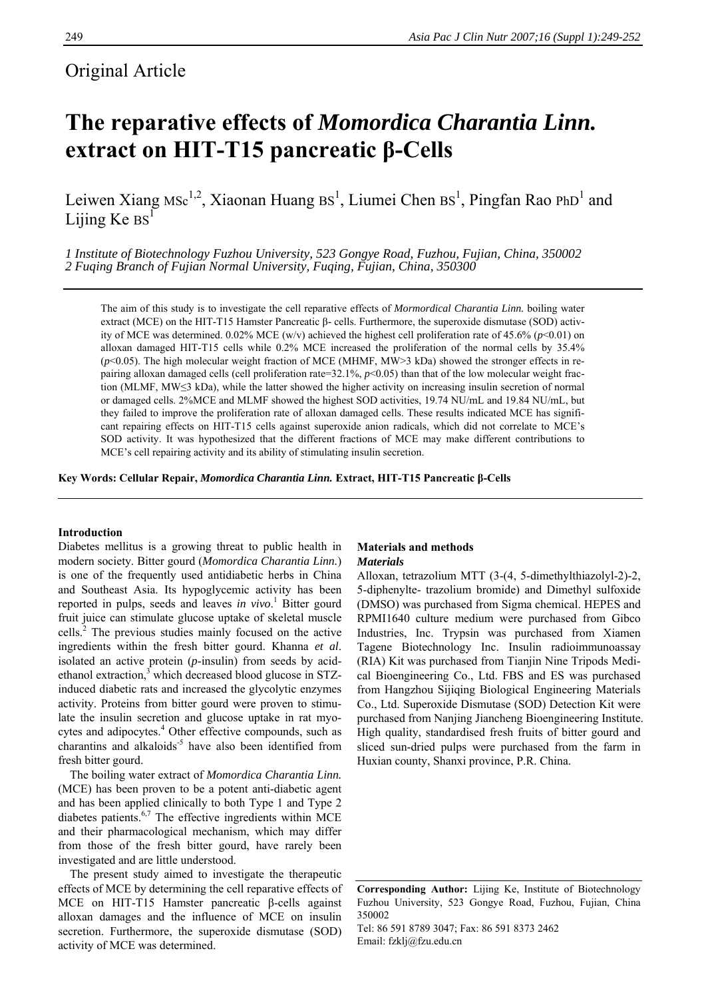# Original Article

# **The reparative effects of** *Momordica Charantia Linn.* **extract on HIT-T15 pancreatic β-Cells**

Leiwen Xiang MSc<sup>1,2</sup>, Xiaonan Huang  $BS^1$ , Liumei Chen  $BS^1$ , Pingfan Rao PhD<sup>1</sup> and Lijing  $Ke$   $Bs<sup>1</sup>$ 

*1 Institute of Biotechnology Fuzhou University, 523 Gongye Road, Fuzhou, Fujian, China, 350002 2 Fuqing Branch of Fujian Normal University, Fuqing, Fujian, China, 350300* 

The aim of this study is to investigate the cell reparative effects of *Mormordical Charantia Linn.* boiling water extract (MCE) on the HIT-T15 Hamster Pancreatic β- cells. Furthermore, the superoxide dismutase (SOD) activity of MCE was determined. 0.02% MCE (w/v) achieved the highest cell proliferation rate of 45.6% (*p*<0.01) on alloxan damaged HIT-T15 cells while 0.2% MCE increased the proliferation of the normal cells by 35.4% (*p*<0.05). The high molecular weight fraction of MCE (MHMF, MW>3 kDa) showed the stronger effects in repairing alloxan damaged cells (cell proliferation rate=32.1%, *p*<0.05) than that of the low molecular weight fraction (MLMF, MW≤3 kDa), while the latter showed the higher activity on increasing insulin secretion of normal or damaged cells. 2%MCE and MLMF showed the highest SOD activities, 19.74 NU/mL and 19.84 NU/mL, but they failed to improve the proliferation rate of alloxan damaged cells. These results indicated MCE has significant repairing effects on HIT-T15 cells against superoxide anion radicals, which did not correlate to MCE's SOD activity. It was hypothesized that the different fractions of MCE may make different contributions to MCE's cell repairing activity and its ability of stimulating insulin secretion.

**Key Words: Cellular Repair,** *Momordica Charantia Linn.* **Extract, HIT-T15 Pancreatic β-Cells** 

# **Introduction**

Diabetes mellitus is a growing threat to public health in modern society. Bitter gourd (*Momordica Charantia Linn.*) is one of the frequently used antidiabetic herbs in China and Southeast Asia. Its hypoglycemic activity has been reported in pulps, seeds and leaves *in vivo*.<sup>1</sup> Bitter gourd fruit juice can stimulate glucose uptake of skeletal muscle cells.<sup>2</sup> The previous studies mainly focused on the active ingredients within the fresh bitter gourd. Khanna *et al*. isolated an active protein (*p*-insulin) from seeds by acidethanol extraction,<sup>3</sup> which decreased blood glucose in STZinduced diabetic rats and increased the glycolytic enzymes activity. Proteins from bitter gourd were proven to stimulate the insulin secretion and glucose uptake in rat myocytes and adipocytes.<sup>4</sup> Other effective compounds, such as charantins and alkaloids<sup>-5</sup> have also been identified from fresh bitter gourd.

The boiling water extract of *Momordica Charantia Linn.* (MCE) has been proven to be a potent anti-diabetic agent and has been applied clinically to both Type 1 and Type 2 diabetes patients.<sup>6,7</sup> The effective ingredients within MCE and their pharmacological mechanism, which may differ from those of the fresh bitter gourd, have rarely been investigated and are little understood.

The present study aimed to investigate the therapeutic effects of MCE by determining the cell reparative effects of MCE on HIT-T15 Hamster pancreatic β-cells against alloxan damages and the influence of MCE on insulin secretion. Furthermore, the superoxide dismutase (SOD) activity of MCE was determined.

# **Materials and methods**  *Materials*

Alloxan, tetrazolium MTT (3-(4, 5-dimethylthiazolyl-2)-2, 5-diphenylte- trazolium bromide) and Dimethyl sulfoxide (DMSO) was purchased from Sigma chemical. HEPES and RPMI1640 culture medium were purchased from Gibco Industries, Inc. Trypsin was purchased from Xiamen Tagene Biotechnology Inc. Insulin radioimmunoassay (RIA) Kit was purchased from Tianjin Nine Tripods Medical Bioengineering Co., Ltd. FBS and ES was purchased from Hangzhou Sijiqing Biological Engineering Materials Co., Ltd. Superoxide Dismutase (SOD) Detection Kit were purchased from Nanjing Jiancheng Bioengineering Institute. High quality, standardised fresh fruits of bitter gourd and sliced sun-dried pulps were purchased from the farm in Huxian county, Shanxi province, P.R. China.

Tel: 86 591 8789 3047; Fax: 86 591 8373 2462 Email: fzklj@fzu.edu.cn

**Corresponding Author:** Lijing Ke, Institute of Biotechnology Fuzhou University, 523 Gongye Road, Fuzhou, Fujian, China 350002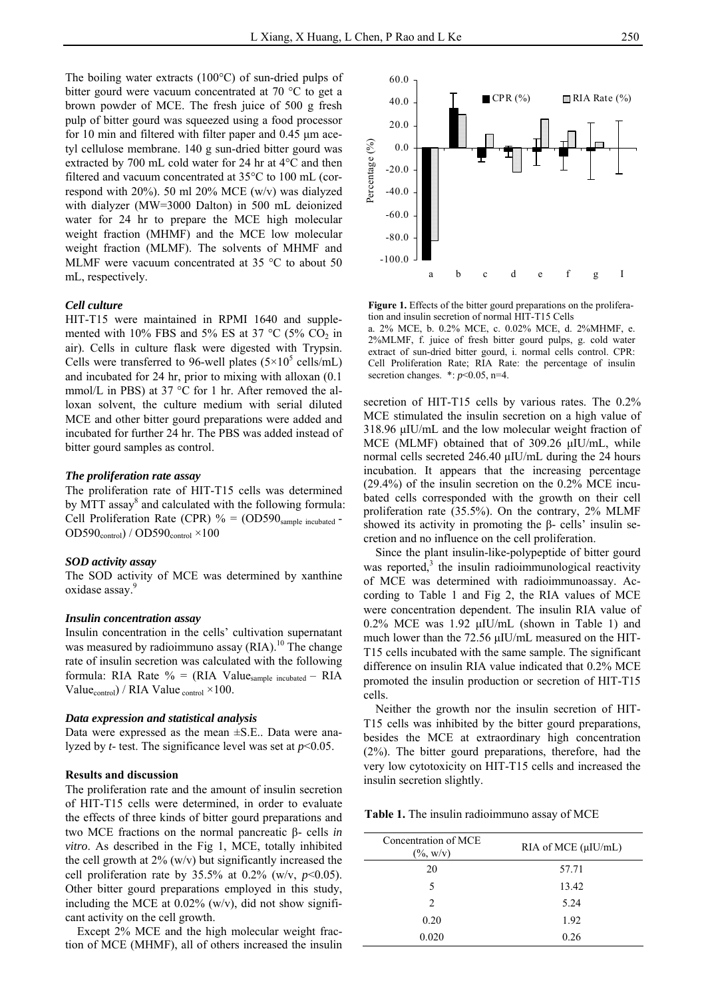The boiling water extracts (100°C) of sun-dried pulps of bitter gourd were vacuum concentrated at 70 °C to get a brown powder of MCE. The fresh juice of 500 g fresh pulp of bitter gourd was squeezed using a food processor for 10 min and filtered with filter paper and 0.45 μm acetyl cellulose membrane. 140 g sun-dried bitter gourd was extracted by 700 mL cold water for 24 hr at 4°C and then filtered and vacuum concentrated at 35°C to 100 mL (correspond with 20%). 50 ml 20% MCE (w/v) was dialyzed with dialyzer (MW=3000 Dalton) in 500 mL deionized water for 24 hr to prepare the MCE high molecular weight fraction (MHMF) and the MCE low molecular weight fraction (MLMF). The solvents of MHMF and MLMF were vacuum concentrated at 35 °C to about 50 mL, respectively.

# *Cell culture*

HIT-T15 were maintained in RPMI 1640 and supplemented with 10% FBS and 5% ES at 37 °C (5%  $CO<sub>2</sub>$  in air). Cells in culture flask were digested with Trypsin. Cells were transferred to 96-well plates  $(5\times10^5 \text{ cells/mL})$ and incubated for 24 hr, prior to mixing with alloxan (0.1 mmol/L in PBS) at 37 °C for 1 hr. After removed the alloxan solvent, the culture medium with serial diluted MCE and other bitter gourd preparations were added and incubated for further 24 hr. The PBS was added instead of bitter gourd samples as control.

# *The proliferation rate assay*

The proliferation rate of HIT-T15 cells was determined by MTT assay<sup>8</sup> and calculated with the following formula: Cell Proliferation Rate (CPR)  $% = (OD590_{sample incubated} OD590<sub>control</sub> / OD590<sub>control</sub> × 100$ 

#### *SOD activity assay*

The SOD activity of MCE was determined by xanthine oxidase assay.<sup>9</sup>

# *Insulin concentration assay*

Insulin concentration in the cells' cultivation supernatant was measured by radioimmuno assay (RIA).<sup>10</sup> The change rate of insulin secretion was calculated with the following formula: RIA Rate  $\% = (RIA Value_{sample incubated} - RIA)$ Value<sub>control</sub>) / RIA Value <sub>control</sub>  $\times$ 100.

# *Data expression and statistical analysis*

Data were expressed as the mean ±S.E.. Data were analyzed by *t*- test. The significance level was set at *p*<0.05.

# **Results and discussion**

The proliferation rate and the amount of insulin secretion of HIT-T15 cells were determined, in order to evaluate the effects of three kinds of bitter gourd preparations and two MCE fractions on the normal pancreatic β- cells *in vitro*. As described in the Fig 1, MCE, totally inhibited the cell growth at  $2\%$  (w/v) but significantly increased the cell proliferation rate by 35.5% at 0.2% (w/v,  $p<0.05$ ). Other bitter gourd preparations employed in this study, including the MCE at  $0.02\%$  (w/v), did not show significant activity on the cell growth.

Except 2% MCE and the high molecular weight fraction of MCE (MHMF), all of others increased the insulin



Figure 1. Effects of the bitter gourd preparations on the proliferation and insulin secretion of normal HIT-T15 Cells

a. 2% MCE, b. 0.2% MCE, c. 0.02% MCE, d. 2%MHMF, e. 2%MLMF, f. juice of fresh bitter gourd pulps, g. cold water extract of sun-dried bitter gourd, i. normal cells control. CPR: Cell Proliferation Rate; RIA Rate: the percentage of insulin secretion changes.  $\ast: p<0.05$ , n=4.

secretion of HIT-T15 cells by various rates. The 0.2% MCE stimulated the insulin secretion on a high value of 318.96 μIU/mL and the low molecular weight fraction of MCE (MLMF) obtained that of 309.26 μIU/mL, while normal cells secreted 246.40 μIU/mL during the 24 hours incubation. It appears that the increasing percentage (29.4%) of the insulin secretion on the 0.2% MCE incubated cells corresponded with the growth on their cell proliferation rate (35.5%). On the contrary, 2% MLMF showed its activity in promoting the β- cells' insulin secretion and no influence on the cell proliferation.

Since the plant insulin-like-polypeptide of bitter gourd was reported, $3$  the insulin radioimmunological reactivity of MCE was determined with radioimmunoassay. According to Table 1 and Fig 2, the RIA values of MCE were concentration dependent. The insulin RIA value of 0.2% MCE was 1.92 μIU/mL (shown in Table 1) and much lower than the 72.56 μIU/mL measured on the HIT-T15 cells incubated with the same sample. The significant difference on insulin RIA value indicated that 0.2% MCE promoted the insulin production or secretion of HIT-T15 cells.

Neither the growth nor the insulin secretion of HIT-T15 cells was inhibited by the bitter gourd preparations, besides the MCE at extraordinary high concentration (2%). The bitter gourd preparations, therefore, had the very low cytotoxicity on HIT-T15 cells and increased the insulin secretion slightly.

**Table 1.** The insulin radioimmuno assay of MCE

| Concentration of MCE<br>$(\% , w/v)$ | RIA of MCE $(\mu I U/mL)$ |  |
|--------------------------------------|---------------------------|--|
| 20                                   | 57.71                     |  |
| 5.                                   | 13.42                     |  |
| $\mathfrak{D}$                       | 5.24                      |  |
| 0.20                                 | 1.92                      |  |
| 0.020                                | 0.26                      |  |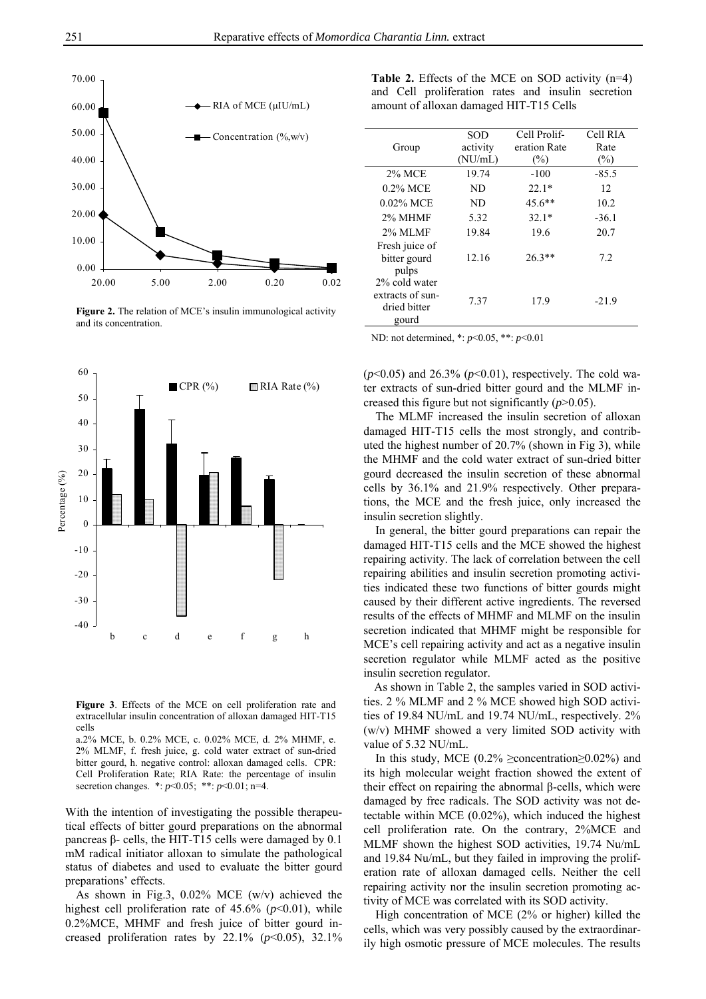

**Figure 2.** The relation of MCE's insulin immunological activity and its concentration.



**Figure 3**. Effects of the MCE on cell proliferation rate and extracellular insulin concentration of alloxan damaged HIT-T15 cells

a.2% MCE, b. 0.2% MCE, c. 0.02% MCE, d. 2% MHMF, e. 2% MLMF, f. fresh juice, g. cold water extract of sun-dried bitter gourd, h. negative control: alloxan damaged cells. CPR: Cell Proliferation Rate; RIA Rate: the percentage of insulin secretion changes. \*: *p*<0.05; \*\*: *p*<0.01; n=4.

With the intention of investigating the possible therapeutical effects of bitter gourd preparations on the abnormal pancreas β- cells, the HIT-T15 cells were damaged by 0.1 mM radical initiator alloxan to simulate the pathological status of diabetes and used to evaluate the bitter gourd preparations' effects.

As shown in Fig.3, 0.02% MCE (w/v) achieved the highest cell proliferation rate of 45.6% (*p*<0.01), while 0.2%MCE, MHMF and fresh juice of bitter gourd increased proliferation rates by  $22.1\%$  ( $p<0.05$ ),  $32.1\%$ 

**Table 2.** Effects of the MCE on SOD activity (n=4) and Cell proliferation rates and insulin secretion amount of alloxan damaged HIT-T15 Cells

|                  | <b>SOD</b> | Cell Prolif- | Cell RIA |
|------------------|------------|--------------|----------|
| Group            | activity   | eration Rate | Rate     |
|                  | (NU/mL)    | $(\%)$       | $(\%)$   |
| 2% MCE           | 19.74      | $-100$       | $-85.5$  |
| $0.2\%$ MCE      | ND         | $22.1*$      | 12       |
| $0.02\%$ MCE     | ND         | 45.6**       | 10.2     |
| 2% MHMF          | 5.32       | $32.1*$      | $-36.1$  |
| 2% MLMF          | 19.84      | 19.6         | 20.7     |
| Fresh juice of   |            |              |          |
| bitter gourd     | 12.16      | $26.3**$     | 7.2      |
| pulps            |            |              |          |
| 2% cold water    |            |              |          |
| extracts of sun- | 7.37       | 17.9         | $-21.9$  |
| dried bitter     |            |              |          |
| gourd            |            |              |          |

ND: not determined, \*: *p*<0.05, \*\*: *p*<0.01

 $(p<0.05)$  and 26.3%  $(p<0.01)$ , respectively. The cold water extracts of sun-dried bitter gourd and the MLMF increased this figure but not significantly (*p*>0.05).

The MLMF increased the insulin secretion of alloxan damaged HIT-T15 cells the most strongly, and contributed the highest number of 20.7% (shown in Fig 3), while the MHMF and the cold water extract of sun-dried bitter gourd decreased the insulin secretion of these abnormal cells by 36.1% and 21.9% respectively. Other preparations, the MCE and the fresh juice, only increased the insulin secretion slightly.

In general, the bitter gourd preparations can repair the damaged HIT-T15 cells and the MCE showed the highest repairing activity. The lack of correlation between the cell repairing abilities and insulin secretion promoting activities indicated these two functions of bitter gourds might caused by their different active ingredients. The reversed results of the effects of MHMF and MLMF on the insulin secretion indicated that MHMF might be responsible for MCE's cell repairing activity and act as a negative insulin secretion regulator while MLMF acted as the positive insulin secretion regulator.

As shown in Table 2, the samples varied in SOD activities. 2 % MLMF and 2 % MCE showed high SOD activities of 19.84 NU/mL and 19.74 NU/mL, respectively. 2% (w/v) MHMF showed a very limited SOD activity with value of 5.32 NU/mL.

In this study, MCE (0.2% ≥concentration  $\geq$  0.02%) and its high molecular weight fraction showed the extent of their effect on repairing the abnormal β-cells, which were damaged by free radicals. The SOD activity was not detectable within MCE (0.02%), which induced the highest cell proliferation rate. On the contrary, 2%MCE and MLMF shown the highest SOD activities, 19.74 Nu/mL and 19.84 Nu/mL, but they failed in improving the proliferation rate of alloxan damaged cells. Neither the cell repairing activity nor the insulin secretion promoting activity of MCE was correlated with its SOD activity.

High concentration of MCE (2% or higher) killed the cells, which was very possibly caused by the extraordinarily high osmotic pressure of MCE molecules. The results